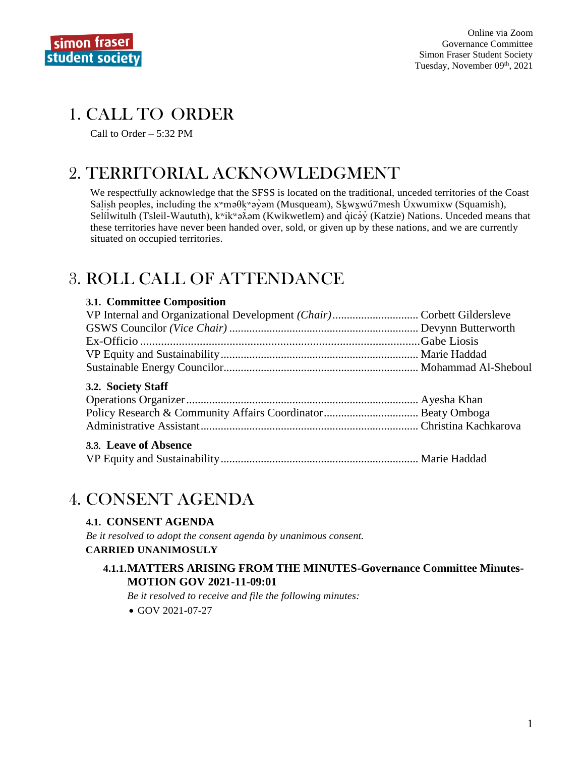

## 1. CALL TO ORDER

Call to Order  $-5:32$  PM

# 2. TERRITORIAL ACKNOWLEDGMENT

We respectfully acknowledge that the SFSS is located on the traditional, unceded territories of the Coast Salish peoples, including the x<sup>w</sup>maθk<sup>w</sup>ayom (Musqueam), Skwxwu 7mesh Úxwumixw (Squamish), Selílwitulh (Tsleil-Waututh), k<sup>w</sup>ik<sup>w</sup>a $\lambda$  m (Kwikwetlem) and qicay (Katzie) Nations. Unceded means that these territories have never been handed over, sold, or given up by these nations, and we are currently situated on occupied territories.

# **3. ROLL CALL OF ATTENDANCE**

#### 3.1. Committee Composition

#### 3.2. Society Staff

#### 3.3. Leave of Absence

|--|--|--|

## 4. CONSENT AGENDA

### **4.1. CONSENT AGENDA**

Be it resolved to adopt the consent agenda by unanimous consent.

#### **CARRIED UNANIMOSULY**

#### **4.1.1.MATTERS ARISING FROM THE MINUTES-Governance Committee Minutes-MOTION GOV 2021-11-09:01**

Be it resolved to receive and file the following minutes:

 $\bullet$  GOV 2021-07-27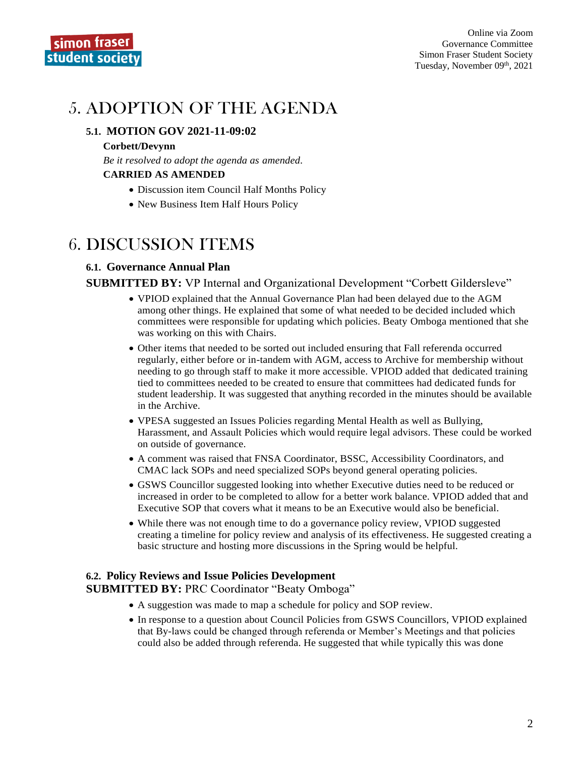# 5. ADOPTION OF THE AGENDA

#### **5.1. MOTION GOV 2021-11-09:02**

#### **Corbett/Devynn**

*Be it resolved to adopt the agenda as amended.* **CARRIED AS AMENDED**

- Discussion item Council Half Months Policy
- New Business Item Half Hours Policy

## 6. DISCUSSION ITEMS

#### **6.1. Governance Annual Plan**

#### **SUBMITTED BY:** VP Internal and Organizational Development "Corbett Gildersleve"

- VPIOD explained that the Annual Governance Plan had been delayed due to the AGM among other things. He explained that some of what needed to be decided included which committees were responsible for updating which policies. Beaty Omboga mentioned that she was working on this with Chairs.
- Other items that needed to be sorted out included ensuring that Fall referenda occurred regularly, either before or in-tandem with AGM, access to Archive for membership without needing to go through staff to make it more accessible. VPIOD added that dedicated training tied to committees needed to be created to ensure that committees had dedicated funds for student leadership. It was suggested that anything recorded in the minutes should be available in the Archive.
- VPESA suggested an Issues Policies regarding Mental Health as well as Bullying, Harassment, and Assault Policies which would require legal advisors. These could be worked on outside of governance.
- A comment was raised that FNSA Coordinator, BSSC, Accessibility Coordinators, and CMAC lack SOPs and need specialized SOPs beyond general operating policies.
- GSWS Councillor suggested looking into whether Executive duties need to be reduced or increased in order to be completed to allow for a better work balance. VPIOD added that and Executive SOP that covers what it means to be an Executive would also be beneficial.
- While there was not enough time to do a governance policy review, VPIOD suggested creating a timeline for policy review and analysis of its effectiveness. He suggested creating a basic structure and hosting more discussions in the Spring would be helpful.

#### **6.2. Policy Reviews and Issue Policies Development**

**SUBMITTED BY:** PRC Coordinator "Beaty Omboga"

- A suggestion was made to map a schedule for policy and SOP review.
- In response to a question about Council Policies from GSWS Councillors, VPIOD explained that By-laws could be changed through referenda or Member's Meetings and that policies could also be added through referenda. He suggested that while typically this was done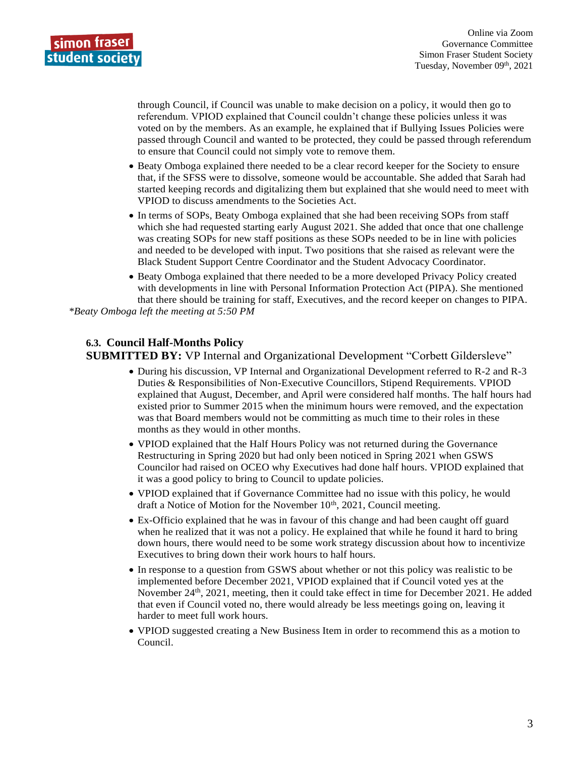

through Council, if Council was unable to make decision on a policy, it would then go to referendum. VPIOD explained that Council couldn't change these policies unless it was voted on by the members. As an example, he explained that if Bullying Issues Policies were passed through Council and wanted to be protected, they could be passed through referendum to ensure that Council could not simply vote to remove them.

- Beaty Omboga explained there needed to be a clear record keeper for the Society to ensure that, if the SFSS were to dissolve, someone would be accountable. She added that Sarah had started keeping records and digitalizing them but explained that she would need to meet with VPIOD to discuss amendments to the Societies Act.
- In terms of SOPs, Beaty Omboga explained that she had been receiving SOPs from staff which she had requested starting early August 2021. She added that once that one challenge was creating SOPs for new staff positions as these SOPs needed to be in line with policies and needed to be developed with input. Two positions that she raised as relevant were the Black Student Support Centre Coordinator and the Student Advocacy Coordinator.
- Beaty Omboga explained that there needed to be a more developed Privacy Policy created with developments in line with Personal Information Protection Act (PIPA). She mentioned that there should be training for staff, Executives, and the record keeper on changes to PIPA. *\*Beaty Omboga left the meeting at 5:50 PM*

#### **6.3. Council Half-Months Policy SUBMITTED BY:** VP Internal and Organizational Development "Corbett Gildersleve"

- During his discussion, VP Internal and Organizational Development referred to R-2 and R-3 Duties & Responsibilities of Non-Executive Councillors, Stipend Requirements. VPIOD explained that August, December, and April were considered half months. The half hours had existed prior to Summer 2015 when the minimum hours were removed, and the expectation was that Board members would not be committing as much time to their roles in these months as they would in other months.
- VPIOD explained that the Half Hours Policy was not returned during the Governance Restructuring in Spring 2020 but had only been noticed in Spring 2021 when GSWS Councilor had raised on OCEO why Executives had done half hours. VPIOD explained that it was a good policy to bring to Council to update policies.
- VPIOD explained that if Governance Committee had no issue with this policy, he would draft a Notice of Motion for the November 10<sup>th</sup>, 2021, Council meeting.
- Ex-Officio explained that he was in favour of this change and had been caught off guard when he realized that it was not a policy. He explained that while he found it hard to bring down hours, there would need to be some work strategy discussion about how to incentivize Executives to bring down their work hours to half hours.
- In response to a question from GSWS about whether or not this policy was realistic to be implemented before December 2021, VPIOD explained that if Council voted yes at the November 24<sup>th</sup>, 2021, meeting, then it could take effect in time for December 2021. He added that even if Council voted no, there would already be less meetings going on, leaving it harder to meet full work hours.
- VPIOD suggested creating a New Business Item in order to recommend this as a motion to Council.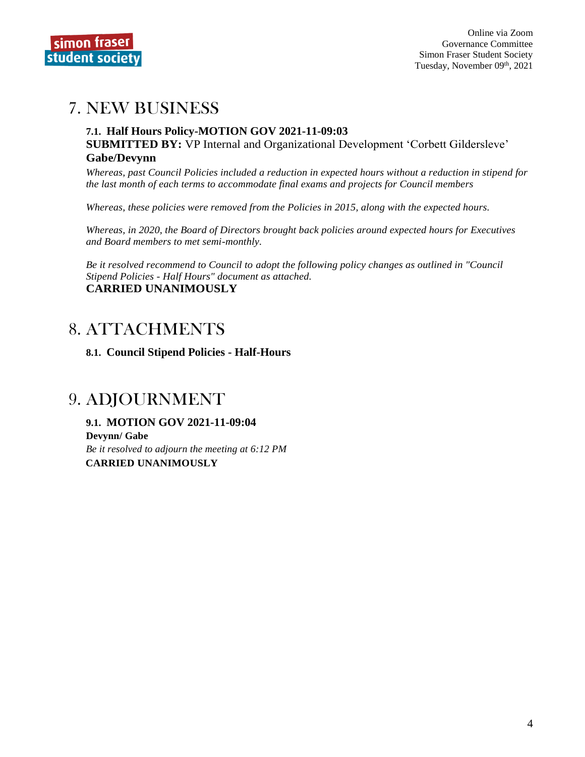

## 7. NEW BUSINESS

#### **7.1. Half Hours Policy-MOTION GOV 2021-11-09:03 SUBMITTED BY:** VP Internal and Organizational Development 'Corbett Gildersleve' **Gabe/Devynn**

*Whereas, past Council Policies included a reduction in expected hours without a reduction in stipend for the last month of each terms to accommodate final exams and projects for Council members*

*Whereas, these policies were removed from the Policies in 2015, along with the expected hours.*

*Whereas, in 2020, the Board of Directors brought back policies around expected hours for Executives and Board members to met semi-monthly.*

*Be it resolved recommend to Council to adopt the following policy changes as outlined in "Council Stipend Policies - Half Hours" document as attached.* **CARRIED UNANIMOUSLY**

## 8. ATTACHMENTS

**8.1. Council Stipend Policies - Half-Hours**

## 9. ADJOURNMENT

**9.1. MOTION GOV 2021-11-09:04 Devynn/ Gabe** *Be it resolved to adjourn the meeting at 6:12 PM* **CARRIED UNANIMOUSLY**